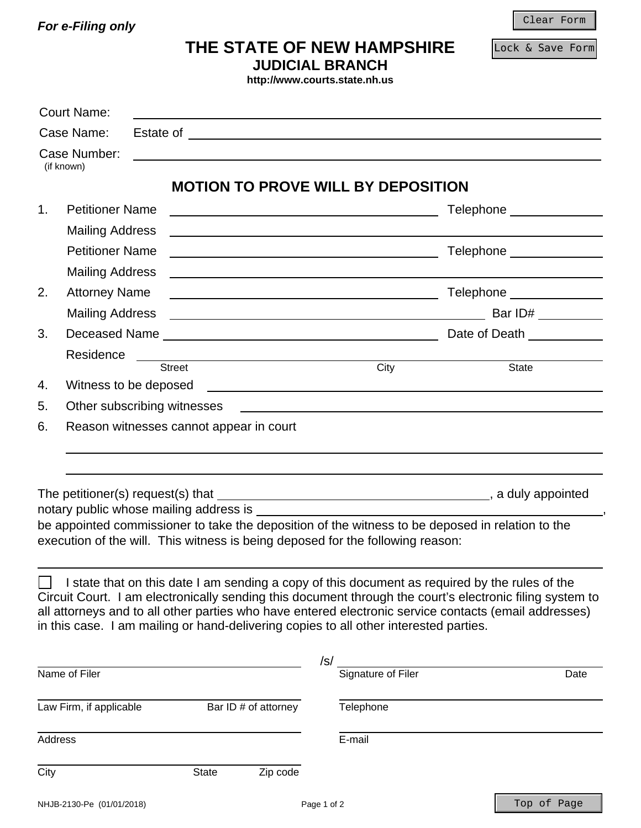*For e-Filing only* 

Clear Form

Lock & Save Form

| THE STATE OF NEW HAMPSHIRE |  |
|----------------------------|--|
| <b>JUDICIAL BRANCH</b>     |  |

**http://www.courts.state.nh.us**

| Case Name:                   |  |                                                                                       |     |                                                                                                                        |                                                                                                                                                                                                                                      |  |
|------------------------------|--|---------------------------------------------------------------------------------------|-----|------------------------------------------------------------------------------------------------------------------------|--------------------------------------------------------------------------------------------------------------------------------------------------------------------------------------------------------------------------------------|--|
| Case Number:<br>(if known)   |  |                                                                                       |     |                                                                                                                        |                                                                                                                                                                                                                                      |  |
|                              |  | <b>MOTION TO PROVE WILL BY DEPOSITION</b>                                             |     |                                                                                                                        |                                                                                                                                                                                                                                      |  |
| <b>Petitioner Name</b><br>1. |  |                                                                                       |     | <u> 1980 - Johann Barbara, martin amerikan basar dan berasal dan berasal dalam basar dalam basar dalam basar dala</u>  | Telephone ______________                                                                                                                                                                                                             |  |
| <b>Mailing Address</b>       |  |                                                                                       |     |                                                                                                                        |                                                                                                                                                                                                                                      |  |
| <b>Petitioner Name</b>       |  |                                                                                       |     | Telephone ______________<br><u> 2000 - Andrea Andrew Maria (h. 18</u>                                                  |                                                                                                                                                                                                                                      |  |
| <b>Mailing Address</b>       |  |                                                                                       |     |                                                                                                                        |                                                                                                                                                                                                                                      |  |
| <b>Attorney Name</b><br>2.   |  |                                                                                       |     | <u> 1989 - Johann Stoff, deutscher Stoffen und der Stoffen und der Stoffen und der Stoffen und der Stoffen und der</u> | Telephone ______________                                                                                                                                                                                                             |  |
| <b>Mailing Address</b>       |  |                                                                                       |     |                                                                                                                        |                                                                                                                                                                                                                                      |  |
| 3.                           |  |                                                                                       |     |                                                                                                                        |                                                                                                                                                                                                                                      |  |
| Residence                    |  |                                                                                       |     |                                                                                                                        |                                                                                                                                                                                                                                      |  |
|                              |  | <b>Street</b>                                                                         |     | City                                                                                                                   | <b>State</b>                                                                                                                                                                                                                         |  |
| Witness to be deposed<br>4.  |  |                                                                                       |     | <u> 1989 - Johann Barnett, fransk politiker (d. 1989)</u>                                                              |                                                                                                                                                                                                                                      |  |
| 5.                           |  | Other subscribing witnesses                                                           |     |                                                                                                                        | <u>and the control of the control of the control of the control of the control of the control of the control of the control of the control of the control of the control of the control of the control of the control of the con</u> |  |
| 6.                           |  | Reason witnesses cannot appear in court                                               |     |                                                                                                                        |                                                                                                                                                                                                                                      |  |
|                              |  |                                                                                       |     |                                                                                                                        |                                                                                                                                                                                                                                      |  |
|                              |  |                                                                                       |     |                                                                                                                        |                                                                                                                                                                                                                                      |  |
|                              |  |                                                                                       |     |                                                                                                                        |                                                                                                                                                                                                                                      |  |
|                              |  | notary public whose mailing address is                                                |     |                                                                                                                        |                                                                                                                                                                                                                                      |  |
|                              |  | execution of the will. This witness is being deposed for the following reason:        |     |                                                                                                                        | be appointed commissioner to take the deposition of the witness to be deposed in relation to the                                                                                                                                     |  |
|                              |  |                                                                                       |     |                                                                                                                        |                                                                                                                                                                                                                                      |  |
|                              |  |                                                                                       |     |                                                                                                                        |                                                                                                                                                                                                                                      |  |
|                              |  |                                                                                       |     |                                                                                                                        | I state that on this date I am sending a copy of this document as required by the rules of the<br>Circuit Court. I am electronically sending this document through the court's electronic filing system to                           |  |
|                              |  |                                                                                       |     |                                                                                                                        | all attorneys and to all other parties who have entered electronic service contacts (email addresses)                                                                                                                                |  |
|                              |  | in this case. I am mailing or hand-delivering copies to all other interested parties. |     |                                                                                                                        |                                                                                                                                                                                                                                      |  |
|                              |  |                                                                                       |     |                                                                                                                        |                                                                                                                                                                                                                                      |  |
|                              |  |                                                                                       | /s/ |                                                                                                                        |                                                                                                                                                                                                                                      |  |
| Name of Filer                |  |                                                                                       |     | Signature of Filer                                                                                                     | Date                                                                                                                                                                                                                                 |  |

Address E-mail

City State Zip code